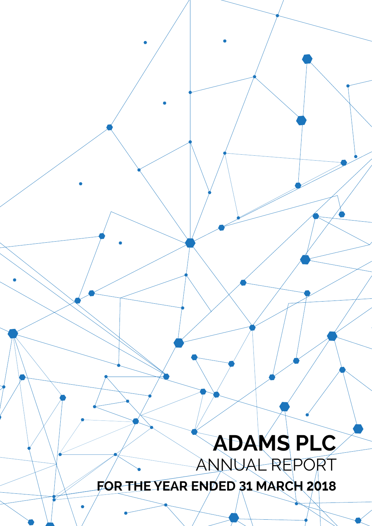# **ADAMS PLC**

ANNUAL REPORT

**FOR THE YEAR ENDED 31 MARCH 2018**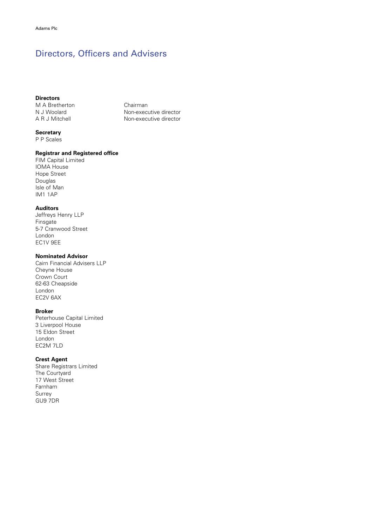# Directors, Officers and Advisers

# **Directors**

M A Bretherton Chairman

N J Woolard Non-executive director A R J Mitchell Non-executive director

# **Secretary**

P P Scales

# **Registrar and Registered office**

FIM Capital Limited IOMA House Hope Street Douglas Isle of Man IM1 1AP

# **Auditors**

Jeffreys Henry LLP Finsgate 5-7 Cranwood Street London EC1V 9EE

# **Nominated Advisor**

Cairn Financial Advisers LLP Cheyne House Crown Court 62-63 Cheapside London EC2V 6AX

# **Broker**

Peterhouse Capital Limited 3 Liverpool House 15 Eldon Street London EC2M 7LD

# **Crest Agent**

Share Registrars Limited The Courtyard 17 West Street Farnham Surrey GU9 7DR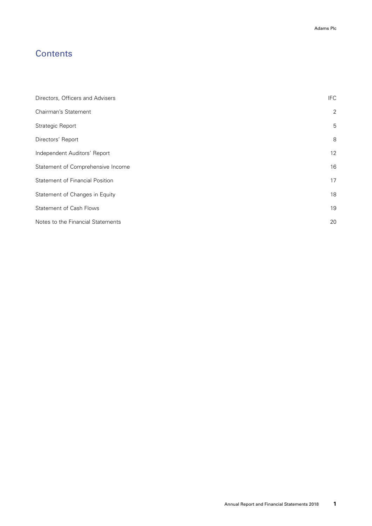# **Contents**

| Directors, Officers and Advisers  | <b>IFC</b>     |
|-----------------------------------|----------------|
| Chairman's Statement              | $\overline{2}$ |
| Strategic Report                  | 5              |
| Directors' Report                 | 8              |
| Independent Auditors' Report      | 12             |
| Statement of Comprehensive Income | 16             |
| Statement of Financial Position   | 17             |
| Statement of Changes in Equity    | 18             |
| <b>Statement of Cash Flows</b>    | 19             |
| Notes to the Financial Statements | 20             |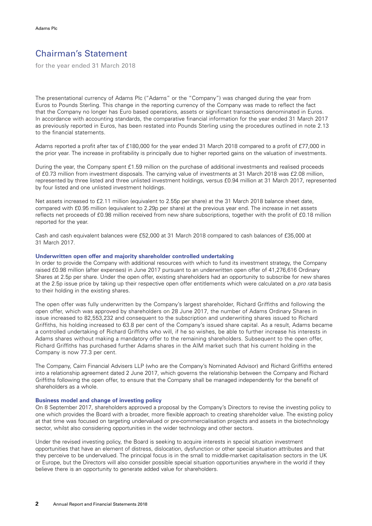# Chairman's Statement

for the year ended 31 March 2018

The presentational currency of Adams Plc ("Adams" or the "Company") was changed during the year from Euros to Pounds Sterling. This change in the reporting currency of the Company was made to reflect the fact that the Company no longer has Euro based operations, assets or significant transactions denominated in Euros. In accordance with accounting standards, the comparative financial information for the year ended 31 March 2017 as previously reported in Euros, has been restated into Pounds Sterling using the procedures outlined in note 2.13 to the financial statements.

Adams reported a profit after tax of £180,000 for the year ended 31 March 2018 compared to a profit of £77,000 in the prior year. The increase in profitability is principally due to higher reported gains on the valuation of investments.

During the year, the Company spent £1.59 million on the purchase of additional investments and realised proceeds of £0.73 million from investment disposals. The carrying value of investments at 31 March 2018 was £2.08 million, represented by three listed and three unlisted investment holdings, versus £0.94 million at 31 March 2017, represented by four listed and one unlisted investment holdings.

Net assets increased to £2.11 million (equivalent to 2.55p per share) at the 31 March 2018 balance sheet date, compared with £0.95 million (equivalent to 2.29p per share) at the previous year end. The increase in net assets reflects net proceeds of £0.98 million received from new share subscriptions, together with the profit of £0.18 million reported for the year.

Cash and cash equivalent balances were £52,000 at 31 March 2018 compared to cash balances of £35,000 at 31 March 2017.

# **Underwritten open offer and majority shareholder controlled undertaking**

In order to provide the Company with additional resources with which to fund its investment strategy, the Company raised £0.98 million (after expenses) in June 2017 pursuant to an underwritten open offer of 41,276,616 Ordinary Shares at 2.5p per share. Under the open offer, existing shareholders had an opportunity to subscribe for new shares at the 2.5p issue price by taking up their respective open offer entitlements which were calculated on a *pro rata* basis to their holding in the existing shares.

The open offer was fully underwritten by the Company's largest shareholder, Richard Griffiths and following the open offer, which was approved by shareholders on 28 June 2017, the number of Adams Ordinary Shares in issue increased to 82,553,232 and consequent to the subscription and underwriting shares issued to Richard Griffiths, his holding increased to 63.8 per cent of the Company's issued share capital. As a result, Adams became a controlled undertaking of Richard Griffiths who will, if he so wishes, be able to further increase his interests in Adams shares without making a mandatory offer to the remaining shareholders. Subsequent to the open offer, Richard Griffiths has purchased further Adams shares in the AIM market such that his current holding in the Company is now 77.3 per cent.

The Company, Cairn Financial Advisers LLP (who are the Company's Nominated Advisor) and Richard Griffiths entered into a relationship agreement dated 2 June 2017, which governs the relationship between the Company and Richard Griffiths following the open offer, to ensure that the Company shall be managed independently for the benefit of shareholders as a whole.

# **Business model and change of investing policy**

On 8 September 2017, shareholders approved a proposal by the Company's Directors to revise the investing policy to one which provides the Board with a broader, more flexible approach to creating shareholder value. The existing policy at that time was focused on targeting undervalued or pre-commercialisation projects and assets in the biotechnology sector, whilst also considering opportunities in the wider technology and other sectors.

Under the revised investing policy, the Board is seeking to acquire interests in special situation investment opportunities that have an element of distress, dislocation, dysfunction or other special situation attributes and that they perceive to be undervalued. The principal focus is in the small to middle-market capitalisation sectors in the UK or Europe, but the Directors will also consider possible special situation opportunities anywhere in the world if they believe there is an opportunity to generate added value for shareholders.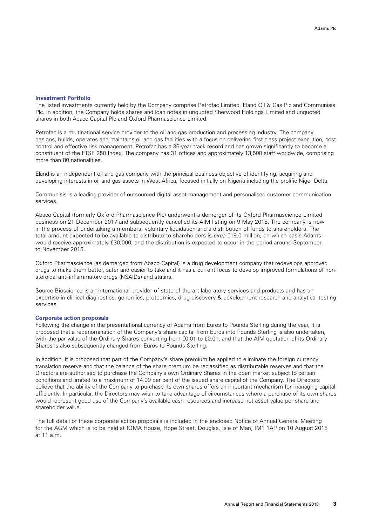### **Investment Portfolio**

The listed investments currently held by the Company comprise Petrofac Limited, Eland Oil & Gas Plc and Communisis Plc. In addition, the Company holds shares and loan notes in unquoted Sherwood Holdings Limited and unquoted shares in both Abaco Capital Plc and Oxford Pharmascience Limited.

Petrofac is a multinational service provider to the oil and gas production and processing industry. The company designs, builds, operates and maintains oil and gas facilities with a focus on delivering first class project execution, cost control and effective risk management. Petrofac has a 36-year track record and has grown significantly to become a constituent of the FTSE 250 Index. The company has 31 offices and approximately 13,500 staff worldwide, comprising more than 80 nationalities.

Eland is an independent oil and gas company with the principal business objective of identifying, acquiring and developing interests in oil and gas assets in West Africa, focused initially on Nigeria including the prolific Niger Delta.

Communisis is a leading provider of outsourced digital asset management and personalised customer communication services.

Abaco Capital (formerly Oxford Pharmascience Plc) underwent a demerger of its Oxford Pharmascience Limited business on 21 December 2017 and subsequently cancelled its AIM listing on 9 May 2018. The company is now in the process of undertaking a members' voluntary liquidation and a distribution of funds to shareholders. The total amount expected to be available to distribute to shareholders is *circa* £19.0 million, on which basis Adams would receive approximately £30,000, and the distribution is expected to occur in the period around September to November 2018.

Oxford Pharmascience (as demerged from Abaco Capital) is a drug development company that redevelops approved drugs to make them better, safer and easier to take and it has a current focus to develop improved formulations of nonsteroidal anti-inflammatory drugs (NSAIDs) and statins.

Source Bioscience is an international provider of state of the art laboratory services and products and has an expertise in clinical diagnostics, genomics, proteomics, drug discovery & development research and analytical testing services.

# **Corporate action proposals**

Following the change in the presentational currency of Adams from Euros to Pounds Sterling during the year, it is proposed that a redenomination of the Company's share capital from Euros into Pounds Sterling is also undertaken, with the par value of the Ordinary Shares converting from  $\epsilon$ 0.01 to £0.01, and that the AIM quotation of its Ordinary Shares is also subsequently changed from Euros to Pounds Sterling.

In addition, it is proposed that part of the Company's share premium be applied to eliminate the foreign currency translation reserve and that the balance of the share premium be reclassified as distributable reserves and that the Directors are authorised to purchase the Company's own Ordinary Shares in the open market subject to certain conditions and limited to a maximum of 14.99 per cent of the issued share capital of the Company. The Directors believe that the ability of the Company to purchase its own shares offers an important mechanism for managing capital efficiently. In particular, the Directors may wish to take advantage of circumstances where a purchase of its own shares would represent good use of the Company's available cash resources and increase net asset value per share and shareholder value.

The full detail of these corporate action proposals is included in the enclosed Notice of Annual General Meeting for the AGM which is to be held at IOMA House, Hope Street, Douglas, Isle of Man, IM1 1AP on 10 August 2018 at 11 a.m.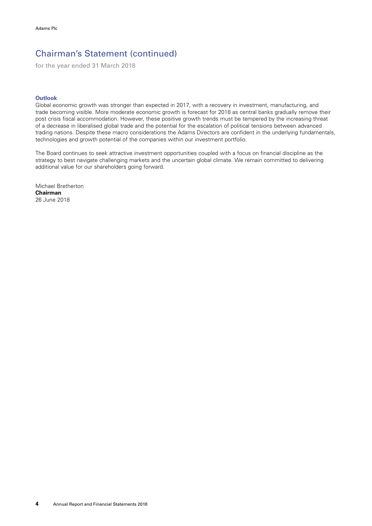# Chairman's Statement (continued)

for the year ended 31 March 2018

# **Outlook**

Global economic growth was stronger than expected in 2017, with a recovery in investment, manufacturing, and trade becoming visible. More moderate economic growth is forecast for 2018 as central banks gradually remove their post crisis fiscal accommodation. However, these positive growth trends must be tempered by the increasing threat of a decrease in liberalised global trade and the potential for the escalation of political tensions between advanced trading nations. Despite these macro considerations the Adams Directors are confident in the underlying fundamentals, technologies and growth potential of the companies within our investment portfolio.

The Board continues to seek attractive investment opportunities coupled with a focus on financial discipline as the strategy to best navigate challenging markets and the uncertain global climate. We remain committed to delivering additional value for our shareholders going forward.

Michael Bretherton **Chairman** 26 June 2018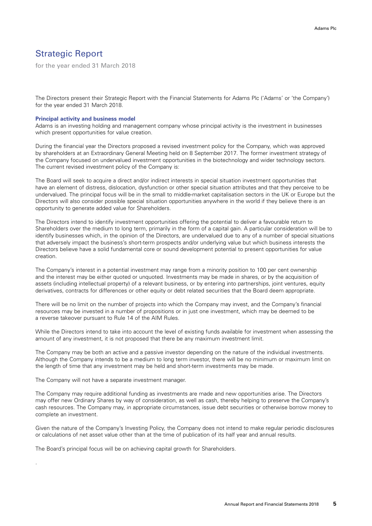# Strategic Report

for the year ended 31 March 2018

The Directors present their Strategic Report with the Financial Statements for Adams Plc ('Adams' or 'the Company') for the year ended 31 March 2018.

### **Principal activity and business model**

Adams is an investing holding and management company whose principal activity is the investment in businesses which present opportunities for value creation.

During the financial year the Directors proposed a revised investment policy for the Company, which was approved by shareholders at an Extraordinary General Meeting held on 8 September 2017. The former investment strategy of the Company focused on undervalued investment opportunities in the biotechnology and wider technology sectors. The current revised investment policy of the Company is:

The Board will seek to acquire a direct and/or indirect interests in special situation investment opportunities that have an element of distress, dislocation, dysfunction or other special situation attributes and that they perceive to be undervalued. The principal focus will be in the small to middle-market capitalisation sectors in the UK or Europe but the Directors will also consider possible special situation opportunities anywhere in the world if they believe there is an opportunity to generate added value for Shareholders.

The Directors intend to identify investment opportunities offering the potential to deliver a favourable return to Shareholders over the medium to long term, primarily in the form of a capital gain. A particular consideration will be to identify businesses which, in the opinion of the Directors, are undervalued due to any of a number of special situations that adversely impact the business's short-term prospects and/or underlying value but which business interests the Directors believe have a solid fundamental core or sound development potential to present opportunities for value creation.

The Company's interest in a potential investment may range from a minority position to 100 per cent ownership and the interest may be either quoted or unquoted. Investments may be made in shares, or by the acquisition of assets (including intellectual property) of a relevant business, or by entering into partnerships, joint ventures, equity derivatives, contracts for differences or other equity or debt related securities that the Board deem appropriate.

There will be no limit on the number of projects into which the Company may invest, and the Company's financial resources may be invested in a number of propositions or in just one investment, which may be deemed to be a reverse takeover pursuant to Rule 14 of the AIM Rules.

While the Directors intend to take into account the level of existing funds available for investment when assessing the amount of any investment, it is not proposed that there be any maximum investment limit.

The Company may be both an active and a passive investor depending on the nature of the individual investments. Although the Company intends to be a medium to long term investor, there will be no minimum or maximum limit on the length of time that any investment may be held and short-term investments may be made.

The Company will not have a separate investment manager.

.

The Company may require additional funding as investments are made and new opportunities arise. The Directors may offer new Ordinary Shares by way of consideration, as well as cash, thereby helping to preserve the Company's cash resources. The Company may, in appropriate circumstances, issue debt securities or otherwise borrow money to complete an investment.

Given the nature of the Company's Investing Policy, the Company does not intend to make regular periodic disclosures or calculations of net asset value other than at the time of publication of its half year and annual results.

The Board's principal focus will be on achieving capital growth for Shareholders.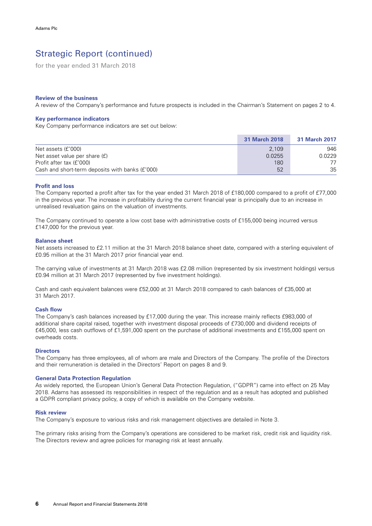# Strategic Report (continued)

for the year ended 31 March 2018

# **Review of the business**

A review of the Company's performance and future prospects is included in the Chairman's Statement on pages 2 to 4.

### **Key performance indicators**

Key Company performance indicators are set out below:

|                                                 | 31 March 2018 | 31 March 2017 |
|-------------------------------------------------|---------------|---------------|
| Net assets (£'000)                              | 2,109         | 946           |
| Net asset value per share (f)                   | 0.0255        | 0.0229        |
| Profit after tax (£'000)                        | 180           | 77            |
| Cash and short-term deposits with banks (£'000) | 52            | 35            |

# **Profit and loss**

The Company reported a profit after tax for the year ended 31 March 2018 of £180,000 compared to a profit of £77,000 in the previous year. The increase in profitability during the current financial year is principally due to an increase in unrealised revaluation gains on the valuation of investments.

The Company continued to operate a low cost base with administrative costs of £155,000 being incurred versus £147,000 for the previous year.

### **Balance sheet**

Net assets increased to £2.11 million at the 31 March 2018 balance sheet date, compared with a sterling equivalent of £0.95 million at the 31 March 2017 prior financial year end.

The carrying value of investments at 31 March 2018 was £2.08 million (represented by six investment holdings) versus £0.94 million at 31 March 2017 (represented by five investment holdings).

Cash and cash equivalent balances were £52,000 at 31 March 2018 compared to cash balances of £35,000 at 31 March 2017.

# **Cash flow**

The Company's cash balances increased by £17,000 during the year. This increase mainly reflects £983,000 of additional share capital raised, together with investment disposal proceeds of £730,000 and dividend receipts of £45,000, less cash outflows of £1,591,000 spent on the purchase of additional investments and £155,000 spent on overheads costs.

#### **Directors**

The Company has three employees, all of whom are male and Directors of the Company. The profile of the Directors and their remuneration is detailed in the Directors' Report on pages 8 and 9.

# **General Data Protection Regulation**

As widely reported, the European Union's General Data Protection Regulation, ("GDPR") came into effect on 25 May 2018. Adams has assessed its responsibilities in respect of the regulation and as a result has adopted and published a GDPR compliant privacy policy, a copy of which is available on the Company website.

#### **Risk review**

The Company's exposure to various risks and risk management objectives are detailed in Note 3.

The primary risks arising from the Company's operations are considered to be market risk, credit risk and liquidity risk. The Directors review and agree policies for managing risk at least annually.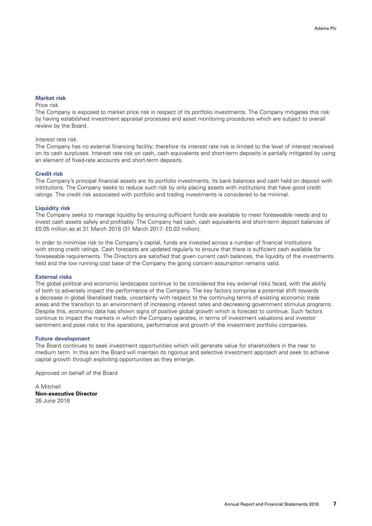# **Market risk**

# Price risk

The Company is exposed to market price risk in respect of its portfolio investments. The Company mitigates this risk by having established investment appraisal processes and asset monitoring procedures which are subject to overall review by the Board.

### Interest rate risk

The Company has no external financing facility; therefore its interest rate risk is limited to the level of interest received on its cash surpluses. Interest rate risk on cash, cash equivalents and short-term deposits is partially mitigated by using an element of fixed-rate accounts and short-term deposits.

# **Credit risk**

The Company's principal financial assets are its portfolio investments, its bank balances and cash held on deposit with institutions. The Company seeks to reduce such risk by only placing assets with institutions that have good credit ratings. The credit risk associated with portfolio and trading investments is considered to be minimal.

### **Liquidity risk**

The Company seeks to manage liquidity by ensuring sufficient funds are available to meet foreseeable needs and to invest cash assets safely and profitably. The Company had cash, cash equivalents and short-term deposit balances of £0.05 million as at 31 March 2018 (31 March 2017: £0.03 million).

In order to minimise risk to the Company's capital, funds are invested across a number of financial institutions with strong credit ratings. Cash forecasts are updated regularly to ensure that there is sufficient cash available for foreseeable requirements. The Directors are satisfied that given current cash balances, the liquidity of the investments held and the low running cost base of the Company the going concern assumption remains valid.

### **External risks**

The global political and economic landscapes continue to be considered the key external risks faced, with the ability of both to adversely impact the performance of the Company. The key factors comprise a potential shift towards a decrease in global liberalised trade, uncertainty with respect to the continuing terms of existing economic trade areas and the transition to an environment of increasing interest rates and decreasing government stimulus programs. Despite this, economic data has shown signs of positive global growth which is forecast to continue. Such factors continue to impact the markets in which the Company operates, in terms of investment valuations and investor sentiment and pose risks to the operations, performance and growth of the investment portfolio companies.

### **Future development**

The Board continues to seek investment opportunities which will generate value for shareholders in the near to medium term. In this aim the Board will maintain its rigorous and selective investment approach and seek to achieve capital growth through exploiting opportunities as they emerge.

Approved on behalf of the Board

A Mitchell **Non-executive Director** 26 June 2018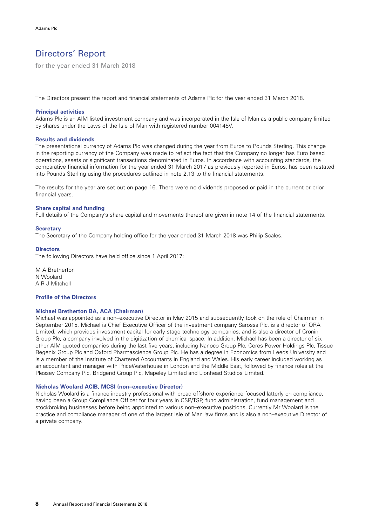# Directors' Report

for the year ended 31 March 2018

The Directors present the report and financial statements of Adams Plc for the year ended 31 March 2018.

# **Principal activities**

Adams Plc is an AIM listed investment company and was incorporated in the Isle of Man as a public company limited by shares under the Laws of the Isle of Man with registered number 004145V.

# **Results and dividends**

The presentational currency of Adams Plc was changed during the year from Euros to Pounds Sterling. This change in the reporting currency of the Company was made to reflect the fact that the Company no longer has Euro based operations, assets or significant transactions denominated in Euros. In accordance with accounting standards, the comparative financial information for the year ended 31 March 2017 as previously reported in Euros, has been restated into Pounds Sterling using the procedures outlined in note 2.13 to the financial statements.

The results for the year are set out on page 16. There were no dividends proposed or paid in the current or prior financial years.

### **Share capital and funding**

Full details of the Company's share capital and movements thereof are given in note 14 of the financial statements.

### **Secretary**

The Secretary of the Company holding office for the year ended 31 March 2018 was Philip Scales.

### **Directors**

The following Directors have held office since 1 April 2017:

M A Bretherton N Woolard A R J Mitchell

# **Profile of the Directors**

# **Michael Bretherton BA, ACA (Chairman)**

Michael was appointed as a non–executive Director in May 2015 and subsequently took on the role of Chairman in September 2015. Michael is Chief Executive Officer of the investment company Sarossa Plc, is a director of ORA Limited, which provides investment capital for early stage technology companies, and is also a director of Cronin Group Plc, a company involved in the digitization of chemical space. In addition, Michael has been a director of six other AIM quoted companies during the last five years, including Nanoco Group Plc, Ceres Power Holdings Plc, Tissue Regenix Group Plc and Oxford Pharmascience Group Plc. He has a degree in Economics from Leeds University and is a member of the Institute of Chartered Accountants in England and Wales. His early career included working as an accountant and manager with PriceWaterhouse in London and the Middle East, followed by finance roles at the Plessey Company Plc, Bridgend Group Plc, Mapeley Limited and Lionhead Studios Limited.

#### **Nicholas Woolard ACIB, MCSI (non–executive Director)**

Nicholas Woolard is a finance industry professional with broad offshore experience focused latterly on compliance, having been a Group Compliance Officer for four years in CSP/TSP, fund administration, fund management and stockbroking businesses before being appointed to various non–executive positions. Currently Mr Woolard is the practice and compliance manager of one of the largest Isle of Man law firms and is also a non–executive Director of a private company.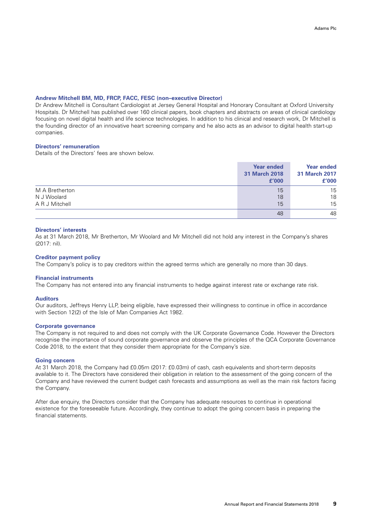# **Andrew Mitchell BM, MD, FRCP, FACC, FESC (non–executive Director)**

Dr Andrew Mitchell is Consultant Cardiologist at Jersey General Hospital and Honorary Consultant at Oxford University Hospitals. Dr Mitchell has published over 160 clinical papers, book chapters and abstracts on areas of clinical cardiology focusing on novel digital health and life science technologies. In addition to his clinical and research work, Dr Mitchell is the founding director of an innovative heart screening company and he also acts as an advisor to digital health start-up companies.

# **Directors' remuneration**

Details of the Directors' fees are shown below.

|                | <b>Year ended</b><br>31 March 2018<br>£'000 |    | <b>Year ended</b><br>31 March 2017<br>£'000 |
|----------------|---------------------------------------------|----|---------------------------------------------|
| M A Bretherton |                                             | 15 | 15                                          |
| N J Woolard    |                                             | 18 | 18                                          |
| A R J Mitchell |                                             | 15 | 15                                          |
|                |                                             | 48 | 48                                          |

# **Directors' interests**

As at 31 March 2018, Mr Bretherton, Mr Woolard and Mr Mitchell did not hold any interest in the Company's shares (2017: nil).

# **Creditor payment policy**

The Company's policy is to pay creditors within the agreed terms which are generally no more than 30 days.

#### **Financial instruments**

The Company has not entered into any financial instruments to hedge against interest rate or exchange rate risk.

### **Auditors**

Our auditors, Jeffreys Henry LLP, being eligible, have expressed their willingness to continue in office in accordance with Section 12(2) of the Isle of Man Companies Act 1982.

### **Corporate governance**

The Company is not required to and does not comply with the UK Corporate Governance Code. However the Directors recognise the importance of sound corporate governance and observe the principles of the QCA Corporate Governance Code 2018, to the extent that they consider them appropriate for the Company's size.

#### **Going concern**

At 31 March 2018, the Company had £0.05m (2017: £0.03m) of cash, cash equivalents and short-term deposits available to it. The Directors have considered their obligation in relation to the assessment of the going concern of the Company and have reviewed the current budget cash forecasts and assumptions as well as the main risk factors facing the Company.

After due enquiry, the Directors consider that the Company has adequate resources to continue in operational existence for the foreseeable future. Accordingly, they continue to adopt the going concern basis in preparing the financial statements.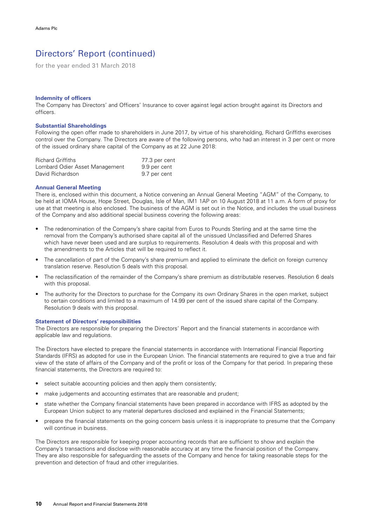# Directors' Report (continued)

for the year ended 31 March 2018

# **Indemnity of officers**

The Company has Directors' and Officers' Insurance to cover against legal action brought against its Directors and officers.

# **Substantial Shareholdings**

Following the open offer made to shareholders in June 2017, by virtue of his shareholding, Richard Griffiths exercises control over the Company. The Directors are aware of the following persons, who had an interest in 3 per cent or more of the issued ordinary share capital of the Company as at 22 June 2018:

| <b>Richard Griffiths</b>       | 77.3 per cent |
|--------------------------------|---------------|
| Lombard Odier Asset Management | 9.9 per cent  |
| David Richardson               | 9.7 per cent  |

# **Annual General Meeting**

There is, enclosed within this document, a Notice convening an Annual General Meeting "AGM" of the Company, to be held at IOMA House, Hope Street, Douglas, Isle of Man, IM1 1AP on 10 August 2018 at 11 a.m. A form of proxy for use at that meeting is also enclosed. The business of the AGM is set out in the Notice, and includes the usual business of the Company and also additional special business covering the following areas:

- The redenomination of the Company's share capital from Euros to Pounds Sterling and at the same time the removal from the Company's authorised share capital all of the unissued Unclassified and Deferred Shares which have never been used and are surplus to requirements. Resolution 4 deals with this proposal and with the amendments to the Articles that will be required to reflect it.
- The cancellation of part of the Company's share premium and applied to eliminate the deficit on foreign currency translation reserve. Resolution 5 deals with this proposal.
- The reclassification of the remainder of the Company's share premium as distributable reserves. Resolution 6 deals with this proposal.
- The authority for the Directors to purchase for the Company its own Ordinary Shares in the open market, subject to certain conditions and limited to a maximum of 14.99 per cent of the issued share capital of the Company. Resolution 9 deals with this proposal.

# **Statement of Directors' responsibilities**

The Directors are responsible for preparing the Directors' Report and the financial statements in accordance with applicable law and regulations.

The Directors have elected to prepare the financial statements in accordance with International Financial Reporting Standards (IFRS) as adopted for use in the European Union. The financial statements are required to give a true and fair view of the state of affairs of the Company and of the profit or loss of the Company for that period. In preparing these financial statements, the Directors are required to:

- select suitable accounting policies and then apply them consistently;
- make judgements and accounting estimates that are reasonable and prudent;
- state whether the Company financial statements have been prepared in accordance with IFRS as adopted by the European Union subject to any material departures disclosed and explained in the Financial Statements;
- prepare the financial statements on the going concern basis unless it is inappropriate to presume that the Company will continue in business.

The Directors are responsible for keeping proper accounting records that are sufficient to show and explain the Company's transactions and disclose with reasonable accuracy at any time the financial position of the Company. They are also responsible for safeguarding the assets of the Company and hence for taking reasonable steps for the prevention and detection of fraud and other irregularities.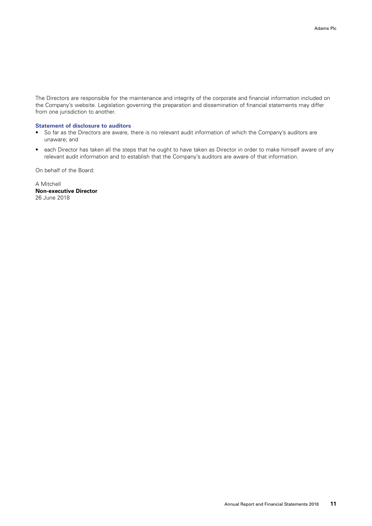The Directors are responsible for the maintenance and integrity of the corporate and financial information included on the Company's website. Legislation governing the preparation and dissemination of financial statements may differ from one jurisdiction to another.

# **Statement of disclosure to auditors**

- So far as the Directors are aware, there is no relevant audit information of which the Company's auditors are unaware; and
- each Director has taken all the steps that he ought to have taken as Director in order to make himself aware of any relevant audit information and to establish that the Company's auditors are aware of that information.

On behalf of the Board:

A Mitchell **Non-executive Director** 26 June 2018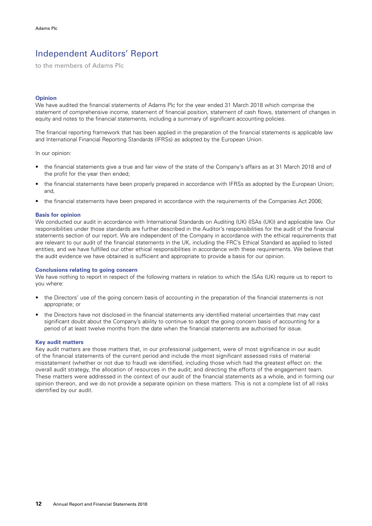# Independent Auditors' Report

to the members of Adams Plc

# **Opinion**

We have audited the financial statements of Adams Plc for the year ended 31 March 2018 which comprise the statement of comprehensive income, statement of financial position, statement of cash flows, statement of changes in equity and notes to the financial statements, including a summary of significant accounting policies.

The financial reporting framework that has been applied in the preparation of the financial statements is applicable law and International Financial Reporting Standards (IFRSs) as adopted by the European Union.

In our opinion:

- the financial statements give a true and fair view of the state of the Company's affairs as at 31 March 2018 and of the profit for the year then ended;
- the financial statements have been properly prepared in accordance with IFRSs as adopted by the European Union; and,
- the financial statements have been prepared in accordance with the requirements of the Companies Act 2006;

# **Basis for opinion**

We conducted our audit in accordance with International Standards on Auditing (UK) (ISAs (UK)) and applicable law. Our responsibilities under those standards are further described in the Auditor's responsibilities for the audit of the financial statements section of our report. We are independent of the Company in accordance with the ethical requirements that are relevant to our audit of the financial statements in the UK, including the FRC's Ethical Standard as applied to listed entities, and we have fulfilled our other ethical responsibilities in accordance with these requirements. We believe that the audit evidence we have obtained is sufficient and appropriate to provide a basis for our opinion.

# **Conclusions relating to going concern**

We have nothing to report in respect of the following matters in relation to which the ISAs (UK) require us to report to you where:

- the Directors' use of the going concern basis of accounting in the preparation of the financial statements is not appropriate; or
- the Directors have not disclosed in the financial statements any identified material uncertainties that may cast significant doubt about the Company's ability to continue to adopt the going concern basis of accounting for a period of at least twelve months from the date when the financial statements are authorised for issue.

# **Key audit matters**

Key audit matters are those matters that, in our professional judgement, were of most significance in our audit of the financial statements of the current period and include the most significant assessed risks of material misstatement (whether or not due to fraud) we identified, including those which had the greatest effect on: the overall audit strategy, the allocation of resources in the audit; and directing the efforts of the engagement team. These matters were addressed in the context of our audit of the financial statements as a whole, and in forming our opinion thereon, and we do not provide a separate opinion on these matters. This is not a complete list of all risks identified by our audit.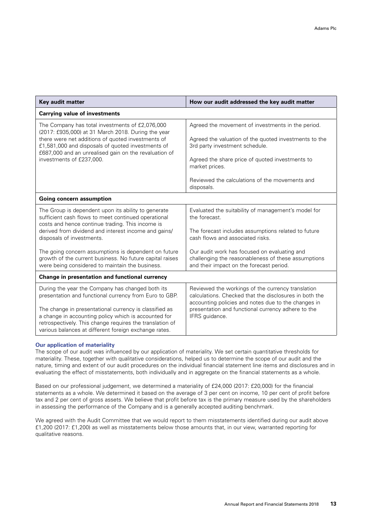| Key audit matter                                                                                                                                                                                                                                                                                                                                  | How our audit addressed the key audit matter                                                                                                                                                                                                                        |
|---------------------------------------------------------------------------------------------------------------------------------------------------------------------------------------------------------------------------------------------------------------------------------------------------------------------------------------------------|---------------------------------------------------------------------------------------------------------------------------------------------------------------------------------------------------------------------------------------------------------------------|
| <b>Carrying value of investments</b>                                                                                                                                                                                                                                                                                                              |                                                                                                                                                                                                                                                                     |
| The Company has total investments of £2,076,000<br>(2017: £935,000) at 31 March 2018. During the year<br>there were net additions of quoted investments of<br>£1,581,000 and disposals of quoted investments of<br>£687,000 and an unrealised gain on the revaluation of<br>investments of £237,000.                                              | Agreed the movement of investments in the period.<br>Agreed the valuation of the quoted investments to the<br>3rd party investment schedule.<br>Agreed the share price of quoted investments to<br>market prices.<br>Reviewed the calculations of the movements and |
|                                                                                                                                                                                                                                                                                                                                                   | disposals.                                                                                                                                                                                                                                                          |
| Going concern assumption                                                                                                                                                                                                                                                                                                                          |                                                                                                                                                                                                                                                                     |
| The Group is dependent upon its ability to generate<br>sufficient cash flows to meet continued operational<br>costs and hence continue trading. This income is<br>derived from dividend and interest income and gains/<br>disposals of investments.                                                                                               | Evaluated the suitability of management's model for<br>the forecast.<br>The forecast includes assumptions related to future<br>cash flows and associated risks.                                                                                                     |
| The going concern assumptions is dependent on future<br>growth of the current business. No future capital raises<br>were being considered to maintain the business.                                                                                                                                                                               | Our audit work has focused on evaluating and<br>challenging the reasonableness of these assumptions<br>and their impact on the forecast period.                                                                                                                     |
| Change in presentation and functional currency                                                                                                                                                                                                                                                                                                    |                                                                                                                                                                                                                                                                     |
| During the year the Company has changed both its<br>presentation and functional currency from Euro to GBP.<br>The change in presentational currency is classified as<br>a change in accounting policy which is accounted for<br>retrospectively. This change requires the translation of<br>various balances at different foreign exchange rates. | Reviewed the workings of the currency translation<br>calculations. Checked that the disclosures in both the<br>accounting policies and notes due to the changes in<br>presentation and functional currency adhere to the<br>IFRS guidance.                          |

# **Our application of materiality**

The scope of our audit was influenced by our application of materiality. We set certain quantitative thresholds for materiality. These, together with qualitative considerations, helped us to determine the scope of our audit and the nature, timing and extent of our audit procedures on the individual financial statement line items and disclosures and in evaluating the effect of misstatements, both individually and in aggregate on the financial statements as a whole.

Based on our professional judgement, we determined a materiality of £24,000 (2017: £20,000) for the financial statements as a whole. We determined it based on the average of 3 per cent on income, 10 per cent of profit before tax and 2 per cent of gross assets. We believe that profit before tax is the primary measure used by the shareholders in assessing the performance of the Company and is a generally accepted auditing benchmark.

We agreed with the Audit Committee that we would report to them misstatements identified during our audit above £1,200 (2017: £1,200) as well as misstatements below those amounts that, in our view, warranted reporting for qualitative reasons.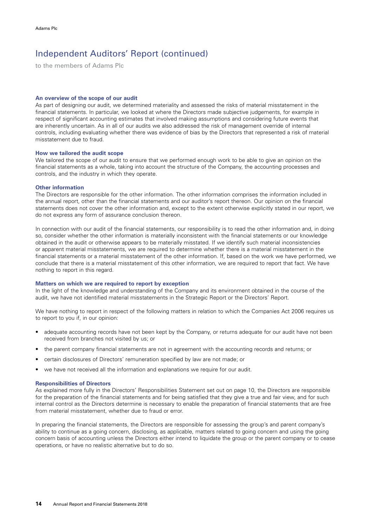# Independent Auditors' Report (continued)

to the members of Adams Plc

# **An overview of the scope of our audit**

As part of designing our audit, we determined materiality and assessed the risks of material misstatement in the financial statements. In particular, we looked at where the Directors made subjective judgements, for example in respect of significant accounting estimates that involved making assumptions and considering future events that are inherently uncertain. As in all of our audits we also addressed the risk of management override of internal controls, including evaluating whether there was evidence of bias by the Directors that represented a risk of material misstatement due to fraud.

# **How we tailored the audit scope**

We tailored the scope of our audit to ensure that we performed enough work to be able to give an opinion on the financial statements as a whole, taking into account the structure of the Company, the accounting processes and controls, and the industry in which they operate.

# **Other information**

The Directors are responsible for the other information. The other information comprises the information included in the annual report, other than the financial statements and our auditor's report thereon. Our opinion on the financial statements does not cover the other information and, except to the extent otherwise explicitly stated in our report, we do not express any form of assurance conclusion thereon.

In connection with our audit of the financial statements, our responsibility is to read the other information and, in doing so, consider whether the other information is materially inconsistent with the financial statements or our knowledge obtained in the audit or otherwise appears to be materially misstated. If we identify such material inconsistencies or apparent material misstatements, we are required to determine whether there is a material misstatement in the financial statements or a material misstatement of the other information. If, based on the work we have performed, we conclude that there is a material misstatement of this other information, we are required to report that fact. We have nothing to report in this regard.

### **Matters on which we are required to report by exception**

In the light of the knowledge and understanding of the Company and its environment obtained in the course of the audit, we have not identified material misstatements in the Strategic Report or the Directors' Report.

We have nothing to report in respect of the following matters in relation to which the Companies Act 2006 requires us to report to you if, in our opinion:

- adequate accounting records have not been kept by the Company, or returns adequate for our audit have not been received from branches not visited by us; or
- the parent company financial statements are not in agreement with the accounting records and returns; or
- certain disclosures of Directors' remuneration specified by law are not made; or
- we have not received all the information and explanations we require for our audit.

#### **Responsibilities of Directors**

As explained more fully in the Directors' Responsibilities Statement set out on page 10, the Directors are responsible for the preparation of the financial statements and for being satisfied that they give a true and fair view, and for such internal control as the Directors determine is necessary to enable the preparation of financial statements that are free from material misstatement, whether due to fraud or error.

In preparing the financial statements, the Directors are responsible for assessing the group's and parent company's ability to continue as a going concern, disclosing, as applicable, matters related to going concern and using the going concern basis of accounting unless the Directors either intend to liquidate the group or the parent company or to cease operations, or have no realistic alternative but to do so.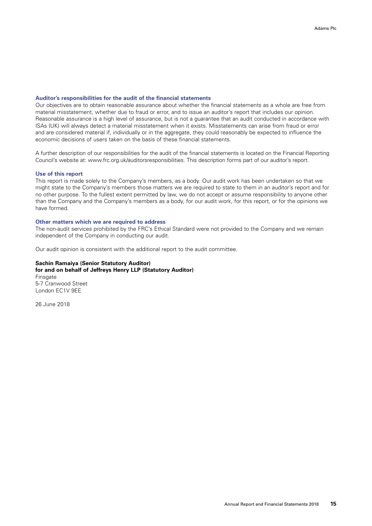# **Auditor's responsibilities for the audit of the financial statements**

Our objectives are to obtain reasonable assurance about whether the financial statements as a whole are free from material misstatement, whether due to fraud or error, and to issue an auditor's report that includes our opinion. Reasonable assurance is a high level of assurance, but is not a guarantee that an audit conducted in accordance with ISAs (UK) will always detect a material misstatement when it exists. Misstatements can arise from fraud or error and are considered material if, individually or in the aggregate, they could reasonably be expected to influence the economic decisions of users taken on the basis of these financial statements.

A further description of our responsibilities for the audit of the financial statements is located on the Financial Reporting Council's website at: www.frc.org.uk/auditorsresponsibilities. This description forms part of our auditor's report.

# **Use of this report**

This report is made solely to the Company's members, as a body. Our audit work has been undertaken so that we might state to the Company's members those matters we are required to state to them in an auditor's report and for no other purpose. To the fullest extent permitted by law, we do not accept or assume responsibility to anyone other than the Company and the Company's members as a body, for our audit work, for this report, or for the opinions we have formed.

# **Other matters which we are required to address**

The non-audit services prohibited by the FRC's Ethical Standard were not provided to the Company and we remain independent of the Company in conducting our audit.

Our audit opinion is consistent with the additional report to the audit committee.

**Sachin Ramaiya (Senior Statutory Auditor) for and on behalf of Jeffreys Henry LLP (Statutory Auditor)** Finsgate 5-7 Cranwood Street London EC1V 9EE

26 June 2018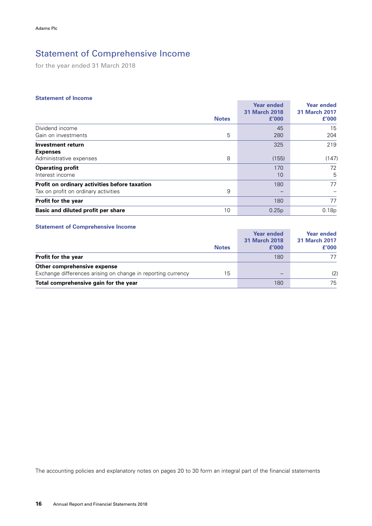# Statement of Comprehensive Income

for the year ended 31 March 2018

# **Statement of Income**

|                                               | <b>Notes</b> | <b>Year ended</b><br><b>31 March 2018</b><br>£'000 | <b>Year ended</b><br><b>31 March 2017</b><br>£'000 |
|-----------------------------------------------|--------------|----------------------------------------------------|----------------------------------------------------|
| Dividend income                               |              | 45                                                 | 15                                                 |
| Gain on investments                           | 5            | 280                                                | 204                                                |
| Investment return<br><b>Expenses</b>          |              | 325                                                | 219                                                |
| Administrative expenses                       | 8            | (155)                                              | (147)                                              |
| <b>Operating profit</b>                       |              | 170                                                | 72                                                 |
| Interest income                               |              | 10                                                 | 5                                                  |
| Profit on ordinary activities before taxation |              | 180                                                | 77                                                 |
| Tax on profit on ordinary activities          | 9            |                                                    |                                                    |
| Profit for the year                           |              | 180                                                | 77                                                 |
| Basic and diluted profit per share            | 10           | 0.25p                                              | 0.18p                                              |

# **Statement of Comprehensive Income**

|                                                              | <b>Notes</b> | <b>Year ended</b><br>31 March 2018<br>£'000 | <b>Year ended</b><br>31 March 2017<br>£'000 |
|--------------------------------------------------------------|--------------|---------------------------------------------|---------------------------------------------|
| <b>Profit for the year</b>                                   |              | 180                                         | 77                                          |
| Other comprehensive expense                                  |              |                                             |                                             |
| Exchange differences arising on change in reporting currency | 15           | –                                           | (2)                                         |
| Total comprehensive gain for the year                        |              | 180                                         | 75                                          |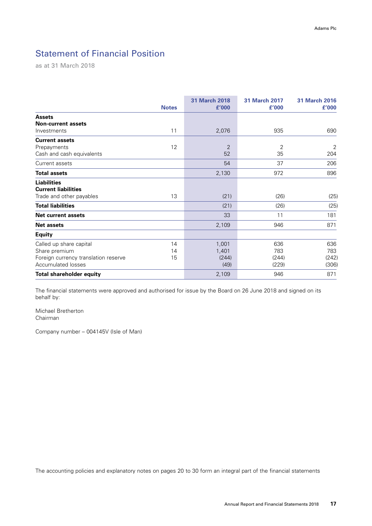# Statement of Financial Position

as at 31 March 2018

| <b>Notes</b>                                     | <b>31 March 2018</b><br>£'000 | <b>31 March 2017</b><br>£'000 | 31 March 2016<br>£'000 |
|--------------------------------------------------|-------------------------------|-------------------------------|------------------------|
| <b>Assets</b>                                    |                               |                               |                        |
| <b>Non-current assets</b>                        |                               |                               |                        |
| 11<br>Investments                                | 2,076                         | 935                           | 690                    |
| <b>Current assets</b>                            |                               |                               |                        |
| 12<br>Prepayments                                | 2                             | 2                             | 2                      |
| Cash and cash equivalents                        | 52                            | 35                            | 204                    |
| Current assets                                   | 54                            | 37                            | 206                    |
| <b>Total assets</b>                              | 2,130                         | 972                           | 896                    |
| <b>Liabilities</b><br><b>Current liabilities</b> |                               |                               |                        |
| 13<br>Trade and other payables                   | (21)                          | (26)                          | (25)                   |
| <b>Total liabilities</b>                         | (21)                          | (26)                          | (25)                   |
| <b>Net current assets</b>                        | 33                            | 11                            | 181                    |
| <b>Net assets</b>                                | 2,109                         | 946                           | 871                    |
| <b>Equity</b>                                    |                               |                               |                        |
| Called up share capital<br>14                    | 1,001                         | 636                           | 636                    |
| Share premium<br>14                              | 1,401                         | 783                           | 783                    |
| Foreign currency translation reserve<br>15       | (244)                         | (244)                         | (242)                  |
| Accumulated losses                               | (49)                          | (229)                         | (306)                  |
| <b>Total shareholder equity</b>                  | 2,109                         | 946                           | 871                    |

The financial statements were approved and authorised for issue by the Board on 26 June 2018 and signed on its behalf by:

Michael Bretherton Chairman

Company number – 004145V (Isle of Man)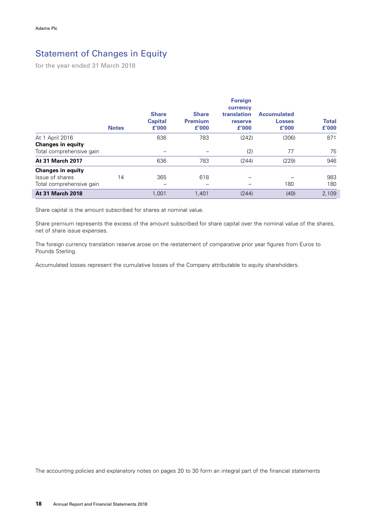# Statement of Changes in Equity

for the year ended 31 March 2018

|                                                                         | <b>Notes</b> | <b>Share</b><br><b>Capital</b><br>£'000 | <b>Share</b><br><b>Premium</b><br>£'000 | <b>Foreign</b><br>currency<br>translation<br><b>reserve</b><br>£'000 | <b>Accumulated</b><br><b>Losses</b><br>£'000 | <b>Total</b><br>£'000 |
|-------------------------------------------------------------------------|--------------|-----------------------------------------|-----------------------------------------|----------------------------------------------------------------------|----------------------------------------------|-----------------------|
| At 1 April 2016<br><b>Changes in equity</b>                             |              | 636                                     | 783                                     | (242)                                                                | (306)                                        | 871                   |
| Total comprehensive gain                                                |              |                                         |                                         | (2)                                                                  | 77                                           | 75                    |
| At 31 March 2017                                                        |              | 636                                     | 783                                     | (244)                                                                | (229)                                        | 946                   |
| <b>Changes in equity</b><br>Issue of shares<br>Total comprehensive gain | 14           | 365<br>–                                | 618                                     |                                                                      | 180                                          | 983<br>180            |
| <b>At 31 March 2018</b>                                                 |              | 1.001                                   | 1,401                                   | (244)                                                                | (49)                                         | 2,109                 |

Share capital is the amount subscribed for shares at nominal value.

Share premium represents the excess of the amount subscribed for share capital over the nominal value of the shares, net of share issue expenses.

The foreign currency translation reserve arose on the restatement of comparative prior year figures from Euros to Pounds Sterling.

Accumulated losses represent the cumulative losses of the Company attributable to equity shareholders.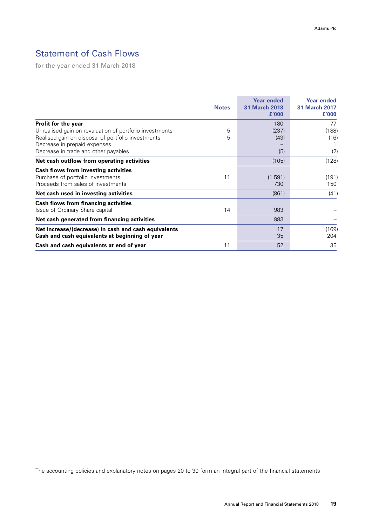# Statement of Cash Flows

for the year ended 31 March 2018

|                                                         | <b>Notes</b> | <b>Year ended</b><br>31 March 2018<br>£'000 | <b>Year ended</b><br><b>31 March 2017</b><br>£'000 |
|---------------------------------------------------------|--------------|---------------------------------------------|----------------------------------------------------|
| <b>Profit for the year</b>                              |              | 180                                         | 77                                                 |
| Unrealised gain on revaluation of portfolio investments | 5            | (237)                                       | (188)                                              |
| Realised gain on disposal of portfolio investments      | 5            | (43)                                        | (16)                                               |
| Decrease in prepaid expenses                            |              |                                             |                                                    |
| Decrease in trade and other payables                    |              | (5)                                         | (2)                                                |
| Net cash outflow from operating activities              |              | (105)                                       | (128)                                              |
| Cash flows from investing activities                    |              |                                             |                                                    |
| Purchase of portfolio investments                       | 11           | (1,591)                                     | (191)                                              |
| Proceeds from sales of investments                      |              | 730                                         | 150                                                |
| Net cash used in investing activities                   |              | (861)                                       | (41)                                               |
| <b>Cash flows from financing activities</b>             |              |                                             |                                                    |
| Issue of Ordinary Share capital                         | 14           | 983                                         |                                                    |
| Net cash generated from financing activities            |              | 983                                         |                                                    |
| Net increase/(decrease) in cash and cash equivalents    |              | 17                                          | (169)                                              |
| Cash and cash equivalents at beginning of year          |              | 35                                          | 204                                                |
| Cash and cash equivalents at end of year                | 11           | 52                                          | 35                                                 |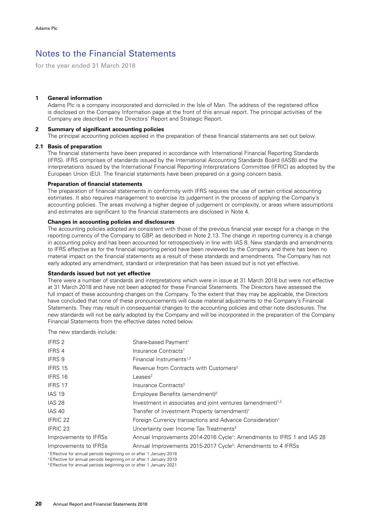# Notes to the Financial Statements

for the year ended 31 March 2018

# **1 General information**

Adams Plc is a company incorporated and domiciled in the Isle of Man. The address of the registered office is disclosed on the Company Information page at the front of this annual report. The principal activities of the Company are described in the Directors' Report and Strategic Report.

# **2 Summary of significant accounting policies**

The principal accounting policies applied in the preparation of these financial statements are set out below.

# **2.1 Basis of preparation**

The financial statements have been prepared in accordance with International Financial Reporting Standards (IFRS). IFRS comprises of standards issued by the International Accounting Standards Board (IASB) and the interpretations issued by the International Financial Reporting Interpretations Committee (IFRIC) as adopted by the European Union (EU). The financial statements have been prepared on a going concern basis.

### **Preparation of financial statements**

The preparation of financial statements in conformity with IFRS requires the use of certain critical accounting estimates. It also requires management to exercise its judgement in the process of applying the Company's accounting policies. The areas involving a higher degree of judgement or complexity, or areas where assumptions and estimates are significant to the financial statements are disclosed in Note 4.

# **Changes in accounting policies and disclosures**

The accounting policies adopted are consistent with those of the previous financial year except for a change in the reporting currency of the Company to GBP, as described in Note 2.13. The change in reporting currency is a change in accounting policy and has been accounted for retrospectively in line with IAS 8. New standards and amendments to IFRS effective as for the financial reporting period have been reviewed by the Company and there has been no material impact on the financial statements as a result of these standards and amendments. The Company has not early adopted any amendment, standard or interpretation that has been issued but is not yet effective.

#### **Standards issued but not yet effective**

There were a number of standards and interpretations which were in issue at 31 March 2018 but were not effective at 31 March 2018 and have not been adopted for these Financial Statements. The Directors have assessed the full impact of these accounting changes on the Company. To the extent that they may be applicable, the Directors have concluded that none of these pronouncements will cause material adjustments to the Company's Financial Statements. They may result in consequential changes to the accounting policies and other note disclosures. The new standards will not be early adopted by the Company and will be incorporated in the preparation of the Company Financial Statements from the effective dates noted below.

The new standards include:

| IFRS 2                | Share-based Payment <sup>1</sup>                                                   |
|-----------------------|------------------------------------------------------------------------------------|
| IFRS 4                | Insurance Contracts <sup>1</sup>                                                   |
| IFRS 9                | Financial Instruments <sup>1,2</sup>                                               |
| IFRS 15               | Revenue from Contracts with Customers <sup>2</sup>                                 |
| IFRS 16               | Leases <sup>2</sup>                                                                |
| IFRS 17               | Insurance Contracts <sup>3</sup>                                                   |
| <b>IAS 19</b>         | Employee Benefits (amendment) <sup>2</sup>                                         |
| <b>IAS 28</b>         | Investment in associates and joint ventures (amendment) <sup>1,2</sup>             |
| IAS 40                | Transfer of Investment Property (amendment) <sup>1</sup>                           |
| IFRIC <sub>22</sub>   | Foreign Currency transactions and Advance Consideration <sup>1</sup>               |
| IFRIC 23              | Uncertainty over Income Tax Treatments <sup>2</sup>                                |
| Improvements to IFRSs | Annual Improvements 2014-2016 Cycle <sup>1</sup> : Amendments to IFRS 1 and IAS 28 |
| Improvements to IFRSs | Annual Improvements 2015-2017 Cycle <sup>2</sup> : Amendments to 4 IFRSs           |
|                       |                                                                                    |

1 Effective for annual periods beginning on or after 1 January 2018

2 Effective for annual periods beginning on or after 1 January 2019 3 Effective for annual periods beginning on or after 1 January 2021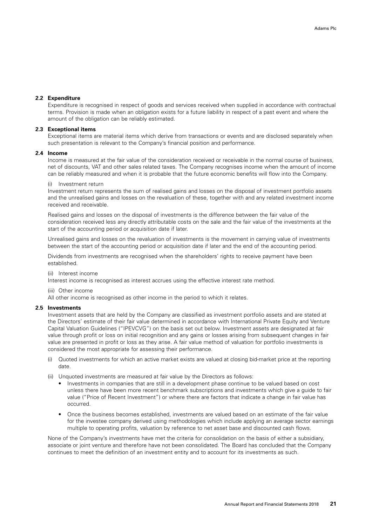# **2.2 Expenditure**

Expenditure is recognised in respect of goods and services received when supplied in accordance with contractual terms. Provision is made when an obligation exists for a future liability in respect of a past event and where the amount of the obligation can be reliably estimated.

#### **2.3 Exceptional items**

Exceptional items are material items which derive from transactions or events and are disclosed separately when such presentation is relevant to the Company's financial position and performance.

# **2.4 Income**

Income is measured at the fair value of the consideration received or receivable in the normal course of business, net of discounts, VAT and other sales related taxes. The Company recognises income when the amount of income can be reliably measured and when it is probable that the future economic benefits will flow into the Company.

#### (i) Investment return

Investment return represents the sum of realised gains and losses on the disposal of investment portfolio assets and the unrealised gains and losses on the revaluation of these, together with and any related investment income received and receivable.

Realised gains and losses on the disposal of investments is the difference between the fair value of the consideration received less any directly attributable costs on the sale and the fair value of the investments at the start of the accounting period or acquisition date if later.

Unrealised gains and losses on the revaluation of investments is the movement in carrying value of investments between the start of the accounting period or acquisition date if later and the end of the accounting period.

Dividends from investments are recognised when the shareholders' rights to receive payment have been established.

(ii) Interest income

Interest income is recognised as interest accrues using the effective interest rate method.

(iii) Other income

All other income is recognised as other income in the period to which it relates.

### **2.5 Investments**

Investment assets that are held by the Company are classified as investment portfolio assets and are stated at the Directors' estimate of their fair value determined in accordance with International Private Equity and Venture Capital Valuation Guidelines ("IPEVCVG") on the basis set out below. Investment assets are designated at fair value through profit or loss on initial recognition and any gains or losses arising from subsequent changes in fair value are presented in profit or loss as they arise. A fair value method of valuation for portfolio investments is considered the most appropriate for assessing their performance.

- (i) Quoted investments for which an active market exists are valued at closing bid-market price at the reporting date.
- (ii) Unquoted investments are measured at fair value by the Directors as follows:
	- Investments in companies that are still in a development phase continue to be valued based on cost unless there have been more recent benchmark subscriptions and investments which give a guide to fair value ("Price of Recent Investment") or where there are factors that indicate a change in fair value has occurred.
	- Once the business becomes established, investments are valued based on an estimate of the fair value for the investee company derived using methodologies which include applying an average sector earnings multiple to operating profits, valuation by reference to net asset base and discounted cash flows.

None of the Company's investments have met the criteria for consolidation on the basis of either a subsidiary, associate or joint venture and therefore have not been consolidated. The Board has concluded that the Company continues to meet the definition of an investment entity and to account for its investments as such.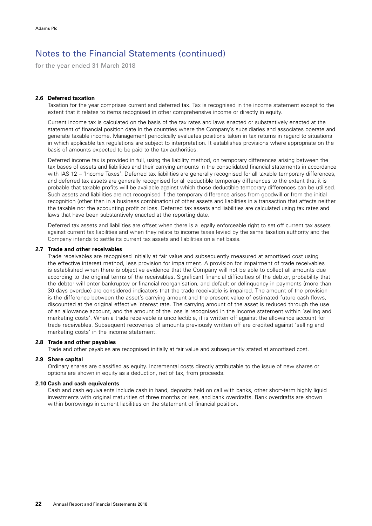# Notes to the Financial Statements (continued)

for the year ended 31 March 2018

# **2.6 Deferred taxation**

Taxation for the year comprises current and deferred tax. Tax is recognised in the income statement except to the extent that it relates to items recognised in other comprehensive income or directly in equity.

Current income tax is calculated on the basis of the tax rates and laws enacted or substantively enacted at the statement of financial position date in the countries where the Company's subsidiaries and associates operate and generate taxable income. Management periodically evaluates positions taken in tax returns in regard to situations in which applicable tax regulations are subject to interpretation. It establishes provisions where appropriate on the basis of amounts expected to be paid to the tax authorities.

Deferred income tax is provided in full, using the liability method, on temporary differences arising between the tax bases of assets and liabilities and their carrying amounts in the consolidated financial statements in accordance with IAS 12 – 'Income Taxes'. Deferred tax liabilities are generally recognised for all taxable temporary differences, and deferred tax assets are generally recognised for all deductible temporary differences to the extent that it is probable that taxable profits will be available against which those deductible temporary differences can be utilised. Such assets and liabilities are not recognised if the temporary difference arises from goodwill or from the initial recognition (other than in a business combination) of other assets and liabilities in a transaction that affects neither the taxable nor the accounting profit or loss. Deferred tax assets and liabilities are calculated using tax rates and laws that have been substantively enacted at the reporting date.

Deferred tax assets and liabilities are offset when there is a legally enforceable right to set off current tax assets against current tax liabilities and when they relate to income taxes levied by the same taxation authority and the Company intends to settle its current tax assets and liabilities on a net basis.

# **2.7 Trade and other receivables**

Trade receivables are recognised initially at fair value and subsequently measured at amortised cost using the effective interest method, less provision for impairment. A provision for impairment of trade receivables is established when there is objective evidence that the Company will not be able to collect all amounts due according to the original terms of the receivables. Significant financial difficulties of the debtor, probability that the debtor will enter bankruptcy or financial reorganisation, and default or delinquency in payments (more than 30 days overdue) are considered indicators that the trade receivable is impaired. The amount of the provision is the difference between the asset's carrying amount and the present value of estimated future cash flows, discounted at the original effective interest rate. The carrying amount of the asset is reduced through the use of an allowance account, and the amount of the loss is recognised in the income statement within 'selling and marketing costs'. When a trade receivable is uncollectible, it is written off against the allowance account for trade receivables. Subsequent recoveries of amounts previously written off are credited against 'selling and marketing costs' in the income statement.

# **2.8 Trade and other payables**

Trade and other payables are recognised initially at fair value and subsequently stated at amortised cost.

# **2.9 Share capital**

Ordinary shares are classified as equity. Incremental costs directly attributable to the issue of new shares or options are shown in equity as a deduction, net of tax, from proceeds.

# **2.10 Cash and cash equivalents**

Cash and cash equivalents include cash in hand, deposits held on call with banks, other short-term highly liquid investments with original maturities of three months or less, and bank overdrafts. Bank overdrafts are shown within borrowings in current liabilities on the statement of financial position.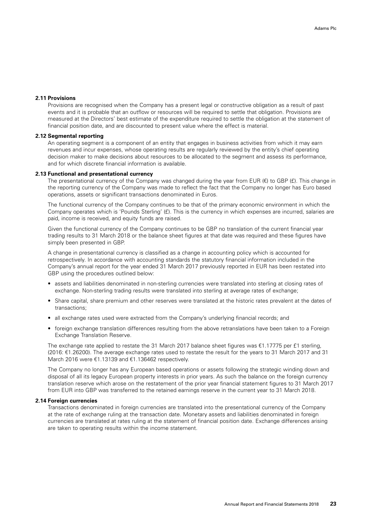# **2.11 Provisions**

Provisions are recognised when the Company has a present legal or constructive obligation as a result of past events and it is probable that an outflow or resources will be required to settle that obligation. Provisions are measured at the Directors' best estimate of the expenditure required to settle the obligation at the statement of financial position date, and are discounted to present value where the effect is material.

#### **2.12 Segmental reporting**

An operating segment is a component of an entity that engages in business activities from which it may earn revenues and incur expenses, whose operating results are regularly reviewed by the entity's chief operating decision maker to make decisions about resources to be allocated to the segment and assess its performance, and for which discrete financial information is available.

# **2.13 Functional and presentational currency**

The presentational currency of the Company was changed during the year from EUR ( $\varepsilon$ ) to GBP ( $\varepsilon$ ). This change in the reporting currency of the Company was made to reflect the fact that the Company no longer has Euro based operations, assets or significant transactions denominated in Euros.

The functional currency of the Company continues to be that of the primary economic environment in which the Company operates which is 'Pounds Sterling' (£). This is the currency in which expenses are incurred, salaries are paid, income is received, and equity funds are raised.

Given the functional currency of the Company continues to be GBP no translation of the current financial year trading results to 31 March 2018 or the balance sheet figures at that date was required and these figures have simply been presented in GBP.

A change in presentational currency is classified as a change in accounting policy which is accounted for retrospectively. In accordance with accounting standards the statutory financial information included in the Company's annual report for the year ended 31 March 2017 previously reported in EUR has been restated into GBP using the procedures outlined below:

- assets and liabilities denominated in non-sterling currencies were translated into sterling at closing rates of exchange. Non-sterling trading results were translated into sterling at average rates of exchange;
- Share capital, share premium and other reserves were translated at the historic rates prevalent at the dates of transactions;
- all exchange rates used were extracted from the Company's underlying financial records; and
- foreign exchange translation differences resulting from the above retranslations have been taken to a Foreign Exchange Translation Reserve.

The exchange rate applied to restate the 31 March 2017 balance sheet figures was  $£1.17775$  per £1 sterling, (2016: K1.26200). The average exchange rates used to restate the result for the years to 31 March 2017 and 31 March 2016 were  $£1.13139$  and  $£1.136462$  respectively.

The Company no longer has any European based operations or assets following the strategic winding down and disposal of all its legacy European property interests in prior years. As such the balance on the foreign currency translation reserve which arose on the restatement of the prior year financial statement figures to 31 March 2017 from EUR into GBP was transferred to the retained earnings reserve in the current year to 31 March 2018.

# **2.14 Foreign currencies**

Transactions denominated in foreign currencies are translated into the presentational currency of the Company at the rate of exchange ruling at the transaction date. Monetary assets and liabilities denominated in foreign currencies are translated at rates ruling at the statement of financial position date. Exchange differences arising are taken to operating results within the income statement.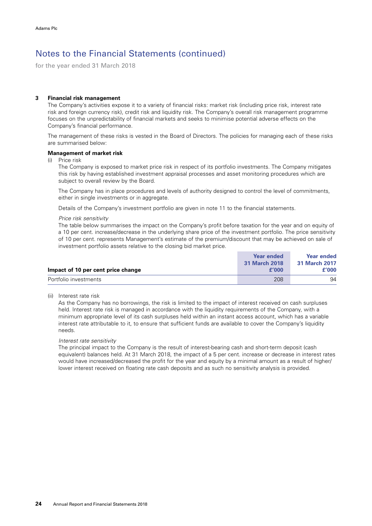# Notes to the Financial Statements (continued)

for the year ended 31 March 2018

# **3 Financial risk management**

The Company's activities expose it to a variety of financial risks: market risk (including price risk, interest rate risk and foreign currency risk), credit risk and liquidity risk. The Company's overall risk management programme focuses on the unpredictability of financial markets and seeks to minimise potential adverse effects on the Company's financial performance.

The management of these risks is vested in the Board of Directors. The policies for managing each of these risks are summarised below:

# **Management of market risk**

(i) Price risk

The Company is exposed to market price risk in respect of its portfolio investments. The Company mitigates this risk by having established investment appraisal processes and asset monitoring procedures which are subject to overall review by the Board.

The Company has in place procedures and levels of authority designed to control the level of commitments, either in single investments or in aggregate.

Details of the Company's investment portfolio are given in note 11 to the financial statements.

### *Price risk sensitivity*

The table below summarises the impact on the Company's profit before taxation for the year and on equity of a 10 per cent. increase/decrease in the underlying share price of the investment portfolio. The price sensitivity of 10 per cent. represents Management's estimate of the premium/discount that may be achieved on sale of investment portfolio assets relative to the closing bid market price.

|                                    | Year ended<br>31 March 2018 | <b>Year ended</b><br>31 March 2017 |
|------------------------------------|-----------------------------|------------------------------------|
| Impact of 10 per cent price change | £'000                       | £'000                              |
| Portfolio investments              | 208                         | 94                                 |

# (ii) Interest rate risk

As the Company has no borrowings, the risk is limited to the impact of interest received on cash surpluses held. Interest rate risk is managed in accordance with the liquidity requirements of the Company, with a minimum appropriate level of its cash surpluses held within an instant access account, which has a variable interest rate attributable to it, to ensure that sufficient funds are available to cover the Company's liquidity needs.

# *Interest rate sensitivity*

The principal impact to the Company is the result of interest-bearing cash and short-term deposit (cash equivalent) balances held. At 31 March 2018, the impact of a 5 per cent. increase or decrease in interest rates would have increased/decreased the profit for the year and equity by a minimal amount as a result of higher/ lower interest received on floating rate cash deposits and as such no sensitivity analysis is provided.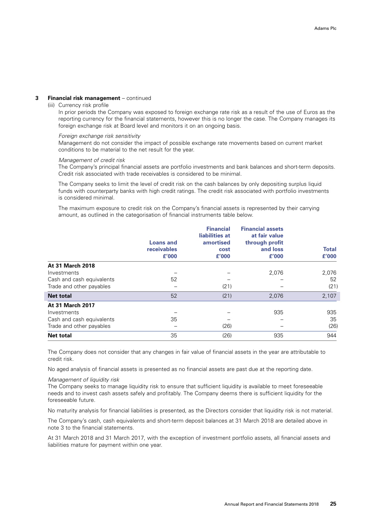### **3 Financial risk management** – continued

# (iii) Currency risk profile

In prior periods the Company was exposed to foreign exchange rate risk as a result of the use of Euros as the reporting currency for the financial statements, however this is no longer the case. The Company manages its foreign exchange risk at Board level and monitors it on an ongoing basis.

### *Foreign exchange risk sensitivity*

Management do not consider the impact of possible exchange rate movements based on current market conditions to be material to the net result for the year.

### *Management of credit risk*

The Company's principal financial assets are portfolio investments and bank balances and short-term deposits. Credit risk associated with trade receivables is considered to be minimal.

The Company seeks to limit the level of credit risk on the cash balances by only depositing surplus liquid funds with counterparty banks with high credit ratings. The credit risk associated with portfolio investments is considered minimal.

The maximum exposure to credit risk on the Company's financial assets is represented by their carrying amount, as outlined in the categorisation of financial instruments table below.

|                           | <b>Loans and</b><br>receivables<br>£'000 | <b>Financial</b><br>liabilities at<br>amortised<br>cost<br>£'000 | <b>Financial assets</b><br>at fair value<br>through profit<br>and loss<br>£'000 | <b>Total</b><br>£'000 |
|---------------------------|------------------------------------------|------------------------------------------------------------------|---------------------------------------------------------------------------------|-----------------------|
| At 31 March 2018          |                                          |                                                                  |                                                                                 |                       |
| Investments               |                                          |                                                                  | 2,076                                                                           | 2,076                 |
| Cash and cash equivalents | 52                                       |                                                                  |                                                                                 | 52                    |
| Trade and other payables  |                                          | (21)                                                             |                                                                                 | (21)                  |
| <b>Net total</b>          | 52                                       | (21)                                                             | 2,076                                                                           | 2,107                 |
| At 31 March 2017          |                                          |                                                                  |                                                                                 |                       |
| Investments               |                                          |                                                                  | 935                                                                             | 935                   |
| Cash and cash equivalents | 35                                       |                                                                  |                                                                                 | 35                    |
| Trade and other payables  |                                          | (26)                                                             |                                                                                 | (26)                  |
| <b>Net total</b>          | 35                                       | (26)                                                             | 935                                                                             | 944                   |

The Company does not consider that any changes in fair value of financial assets in the year are attributable to credit risk.

No aged analysis of financial assets is presented as no financial assets are past due at the reporting date.

#### *Management of liquidity risk*

The Company seeks to manage liquidity risk to ensure that sufficient liquidity is available to meet foreseeable needs and to invest cash assets safely and profitably. The Company deems there is sufficient liquidity for the foreseeable future.

No maturity analysis for financial liabilities is presented, as the Directors consider that liquidity risk is not material.

The Company's cash, cash equivalents and short-term deposit balances at 31 March 2018 are detailed above in note 3 to the financial statements.

At 31 March 2018 and 31 March 2017, with the exception of investment portfolio assets, all financial assets and liabilities mature for payment within one year.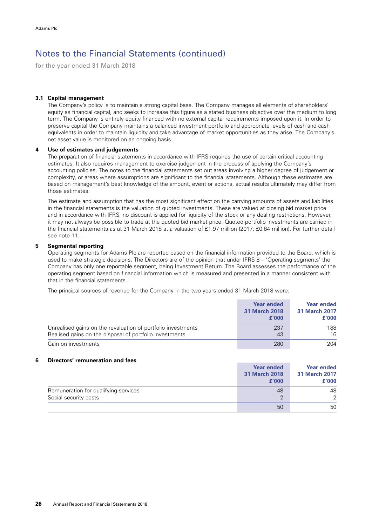# Notes to the Financial Statements (continued)

for the year ended 31 March 2018

# **3.1 Capital management**

The Company's policy is to maintain a strong capital base. The Company manages all elements of shareholders' equity as financial capital, and seeks to increase this figure as a stated business objective over the medium to long term. The Company is entirely equity financed with no external capital requirements imposed upon it. In order to preserve capital the Company maintains a balanced investment portfolio and appropriate levels of cash and cash equivalents in order to maintain liquidity and take advantage of market opportunities as they arise. The Company's net asset value is monitored on an ongoing basis.

# **4 Use of estimates and judgements**

The preparation of financial statements in accordance with IFRS requires the use of certain critical accounting estimates. It also requires management to exercise judgement in the process of applying the Company's accounting policies. The notes to the financial statements set out areas involving a higher degree of judgement or complexity, or areas where assumptions are significant to the financial statements. Although these estimates are based on management's best knowledge of the amount, event or actions, actual results ultimately may differ from those estimates.

The estimate and assumption that has the most significant effect on the carrying amounts of assets and liabilities in the financial statements is the valuation of quoted investments. These are valued at closing bid market price and in accordance with IFRS, no discount is applied for liquidity of the stock or any dealing restrictions. However, it may not always be possible to trade at the quoted bid market price. Quoted portfolio investments are carried in the financial statements as at 31 March 2018 at a valuation of £1.97 million (2017: £0.84 million). For further detail see note 11.

# **5 Segmental reporting**

Operating segments for Adams Plc are reported based on the financial information provided to the Board, which is used to make strategic decisions. The Directors are of the opinion that under IFRS 8 – 'Operating segments' the Company has only one reportable segment, being Investment Return. The Board assesses the performance of the operating segment based on financial information which is measured and presented in a manner consistent with that in the financial statements.

The principal sources of revenue for the Company in the two years ended 31 March 2018 were:

|                                                                                                                         | <b>Year ended</b><br>31 March 2018<br>£'000 | <b>Year ended</b><br>31 March 2017<br>£'000 |
|-------------------------------------------------------------------------------------------------------------------------|---------------------------------------------|---------------------------------------------|
| Unrealised gains on the revaluation of portfolio investments<br>Realised gains on the disposal of portfolio investments | 237<br>43                                   | 188<br>16                                   |
| Gain on investments                                                                                                     | 280                                         | 204                                         |

# **6 Directors' remuneration and fees**

|                                      | Year ended<br>31 March 2018<br>£'000 | <b>Year ended</b><br><b>31 March 2017</b><br>£'000 |
|--------------------------------------|--------------------------------------|----------------------------------------------------|
| Remuneration for qualifying services | 48                                   | 48                                                 |
| Social security costs                | っ                                    | $\mathcal{D}$                                      |
|                                      | 50                                   | 50                                                 |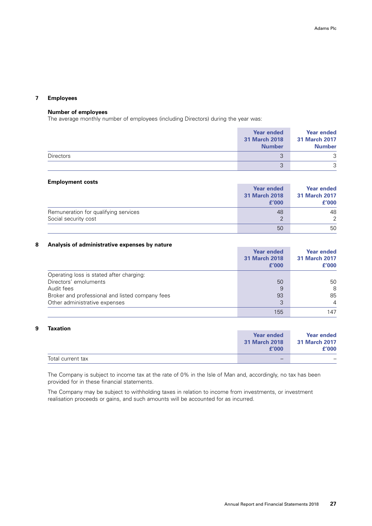# **7 Employees**

### **Number of employees**

The average monthly number of employees (including Directors) during the year was:

|                  | <b>Year ended</b><br>31 March 2018<br><b>Number</b> | <b>Year ended</b><br>31 March 2017<br><b>Number</b> |
|------------------|-----------------------------------------------------|-----------------------------------------------------|
| <b>Directors</b> | 3                                                   | Ç                                                   |
|                  | 3                                                   | 3                                                   |

# **Employment costs**

|                                      | <b>Year ended</b><br>31 March 2018<br>£'000 | <b>Year ended</b><br>31 March 2017<br>£'000 |
|--------------------------------------|---------------------------------------------|---------------------------------------------|
| Remuneration for qualifying services | 48                                          | 48                                          |
| Social security cost                 | っ                                           | $\mathcal{D}$                               |
|                                      | 50                                          | 50                                          |

# **8 Analysis of administrative expenses by nature**

|                                                 | <b>Year ended</b><br><b>31 March 2018</b><br>£'000 | <b>Year ended</b><br><b>31 March 2017</b><br>£'000 |
|-------------------------------------------------|----------------------------------------------------|----------------------------------------------------|
| Operating loss is stated after charging:        |                                                    |                                                    |
| Directors' emoluments                           | 50                                                 | 50                                                 |
| Audit fees                                      | 9                                                  | 8                                                  |
| Broker and professional and listed company fees | 93                                                 | 85                                                 |
| Other administrative expenses                   | 3                                                  | $\overline{\mathcal{A}}$                           |
|                                                 | 155                                                | 147                                                |

# **9 Taxation**

|                   | Year ended<br>31 March 2018<br>£'000 |                          | <b>Year ended</b><br>31 March 2017<br>£'000 |
|-------------------|--------------------------------------|--------------------------|---------------------------------------------|
| Total current tax |                                      | $\overline{\phantom{0}}$ | -                                           |

The Company is subject to income tax at the rate of 0% in the Isle of Man and, accordingly, no tax has been provided for in these financial statements.

The Company may be subject to withholding taxes in relation to income from investments, or investment realisation proceeds or gains, and such amounts will be accounted for as incurred.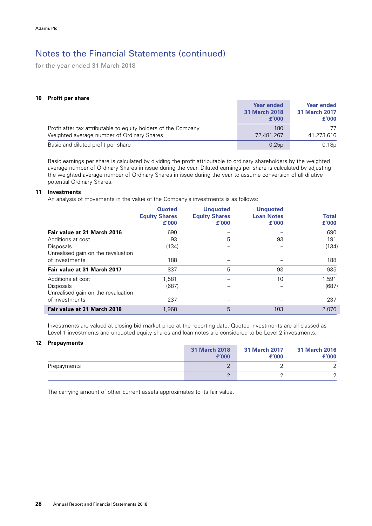# Notes to the Financial Statements (continued)

for the year ended 31 March 2018

# **10 Profit per share**

|                                                                | <b>Year ended</b><br><b>31 March 2018</b><br>£'000 | <b>Year ended</b><br><b>31 March 2017</b><br>£'000 |
|----------------------------------------------------------------|----------------------------------------------------|----------------------------------------------------|
| Profit after tax attributable to equity holders of the Company | 180                                                | 77                                                 |
| Weighted average number of Ordinary Shares                     | 72.481.267                                         | 41.273.616                                         |
| Basic and diluted profit per share                             | 0.25p                                              | 0.18p                                              |

Basic earnings per share is calculated by dividing the profit attributable to ordinary shareholders by the weighted average number of Ordinary Shares in issue during the year. Diluted earnings per share is calculated by adjusting the weighted average number of Ordinary Shares in issue during the year to assume conversion of all dilutive potential Ordinary Shares.

# **11 Investments**

An analysis of movements in the value of the Company's investments is as follows:

|                                    | <b>Quoted</b><br><b>Equity Shares</b><br>£'000 | <b>Unquoted</b><br><b>Equity Shares</b><br>£'000 | <b>Unquoted</b><br><b>Loan Notes</b><br>£'000 | <b>Total</b><br>£'000 |
|------------------------------------|------------------------------------------------|--------------------------------------------------|-----------------------------------------------|-----------------------|
| Fair value at 31 March 2016        | 690                                            |                                                  |                                               | 690                   |
| Additions at cost                  | 93                                             | 5                                                | 93                                            | 191                   |
| Disposals                          | (134)                                          |                                                  |                                               | (134)                 |
| Unrealised gain on the revaluation |                                                |                                                  |                                               |                       |
| of investments                     | 188                                            |                                                  |                                               | 188                   |
| Fair value at 31 March 2017        | 837                                            | 5                                                | 93                                            | 935                   |
| Additions at cost                  | 1.581                                          |                                                  | 10                                            | 1.591                 |
| Disposals                          | (687)                                          |                                                  |                                               | (687)                 |
| Unrealised gain on the revaluation |                                                |                                                  |                                               |                       |
| of investments                     | 237                                            |                                                  |                                               | 237                   |
| Fair value at 31 March 2018        | 1,968                                          | 5                                                | 103                                           | 2,076                 |

Investments are valued at closing bid market price at the reporting date. Quoted investments are all classed as Level 1 investments and unquoted equity shares and loan notes are considered to be Level 2 investments.

# **12 Prepayments**

|             | 31 March 2018<br>£'000 | 31 March 2017<br>£'000 | 31 March 2016<br>£'000 |
|-------------|------------------------|------------------------|------------------------|
| Prepayments |                        |                        | C                      |
|             |                        |                        | C                      |

The carrying amount of other current assets approximates to its fair value.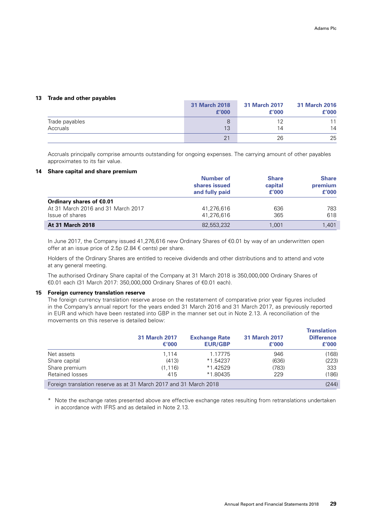### **13 Trade and other payables**

|                | 31 March 2018<br>£'000 | <b>31 March 2017</b><br>£'000 | 31 March 2016<br>£'000 |
|----------------|------------------------|-------------------------------|------------------------|
| Trade payables |                        | 12                            | 11                     |
| Accruals       | 13                     | 4                             | 14                     |
|                | 21                     | 26                            | 25                     |

Accruals principally comprise amounts outstanding for ongoing expenses. The carrying amount of other payables approximates to its fair value.

### **14 Share capital and share premium**

|                                                                                   | Number of<br>shares issued<br>and fully paid | <b>Share</b><br>capital<br>£'000 | <b>Share</b><br>premium<br>£'000 |
|-----------------------------------------------------------------------------------|----------------------------------------------|----------------------------------|----------------------------------|
| Ordinary shares of €0.01<br>At 31 March 2016 and 31 March 2017<br>Issue of shares | 41,276,616<br>41.276.616                     | 636<br>365                       | 783<br>618                       |
| <b>At 31 March 2018</b>                                                           | 82,553,232                                   | 1,001                            | 1.401                            |

In June 2017, the Company issued 41,276,616 new Ordinary Shares of €0.01 by way of an underwritten open offer at an issue price of 2.5p (2.84  $\epsilon$  cents) per share.

Holders of the Ordinary Shares are entitled to receive dividends and other distributions and to attend and vote at any general meeting.

The authorised Ordinary Share capital of the Company at 31 March 2018 is 350,000,000 Ordinary Shares of €0.01 each (31 March 2017: 350,000,000 Ordinary Shares of  $€0.01$  each).

# **15 Foreign currency translation reserve**

The foreign currency translation reserve arose on the restatement of comparative prior year figures included in the Company's annual report for the years ended 31 March 2016 and 31 March 2017, as previously reported in EUR and which have been restated into GBP in the manner set out in Note 2.13. A reconciliation of the movements on this reserve is detailed below:

|                                                                   | <b>31 March 2017</b><br>€'000 | <b>Exchange Rate</b><br><b>EUR/GBP</b> | <b>31 March 2017</b><br>£'000 | <b>Translation</b><br><b>Difference</b><br>£'000 |
|-------------------------------------------------------------------|-------------------------------|----------------------------------------|-------------------------------|--------------------------------------------------|
| Net assets                                                        | 1.114                         | 1.17775                                | 946                           | (168)                                            |
| Share capital                                                     | (413)                         | *1.54237                               | (636)                         | (223)                                            |
| Share premium                                                     | (1, 116)                      | *1.42529                               | (783)                         | 333                                              |
| Retained losses                                                   | 415                           | *1.80435                               | 229                           | (186)                                            |
| Foreign translation reserve as at 31 March 2017 and 31 March 2018 |                               |                                        |                               | (244)                                            |

\* Note the exchange rates presented above are effective exchange rates resulting from retranslations undertaken in accordance with IFRS and as detailed in Note 2.13.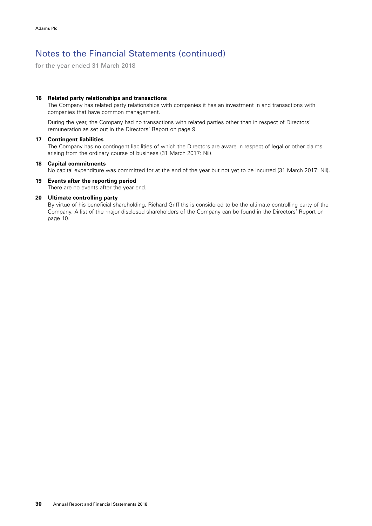# Notes to the Financial Statements (continued)

for the year ended 31 March 2018

# **16 Related party relationships and transactions**

The Company has related party relationships with companies it has an investment in and transactions with companies that have common management.

During the year, the Company had no transactions with related parties other than in respect of Directors' remuneration as set out in the Directors' Report on page 9.

# **17 Contingent liabilities**

The Company has no contingent liabilities of which the Directors are aware in respect of legal or other claims arising from the ordinary course of business (31 March 2017: Nil).

# **18 Capital commitments**

No capital expenditure was committed for at the end of the year but not yet to be incurred (31 March 2017: Nil).

# **19 Events after the reporting period**

There are no events after the year end.

# **20 Ultimate controlling party**

By virtue of his beneficial shareholding, Richard Griffiths is considered to be the ultimate controlling party of the Company. A list of the major disclosed shareholders of the Company can be found in the Directors' Report on page 10.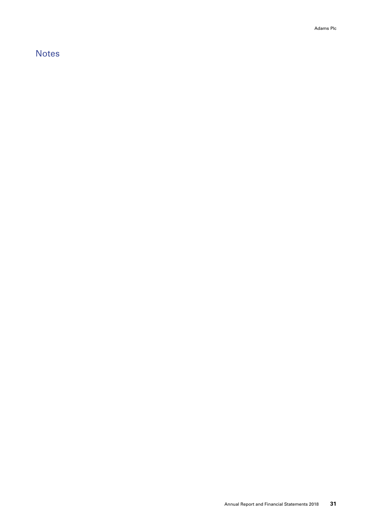# Notes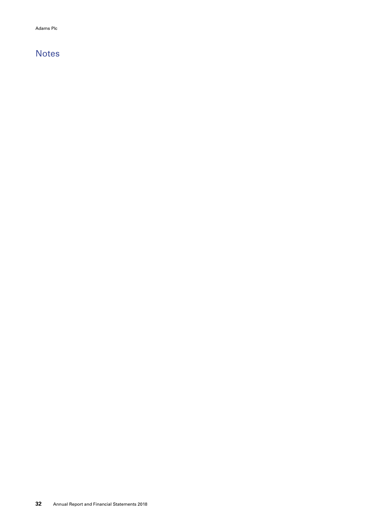# Notes